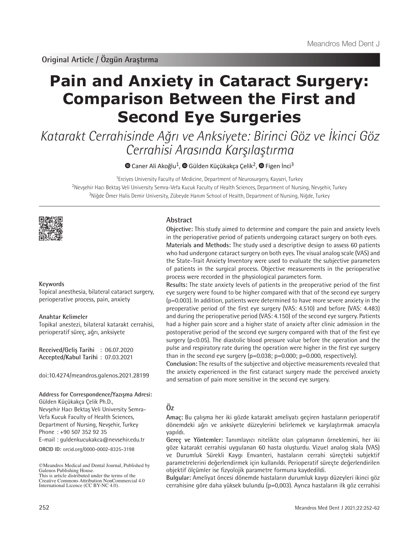# **Pain and Anxiety in Cataract Surgery: Comparison Between the First and Second Eye Surgeries**

Katarakt Cerrahisinde Ağrı ve Anksiyete: Birinci Göz ve İkinci Göz Cerrahisi Arasında Karşılaştırma

 $\bullet$  [C](https://orcid.org/0000-0003-4063-342X)anerAli Akoğlu<sup>1</sup>,  $\bullet$  Gülden Küçükakça Çelik<sup>2</sup>,  $\bullet$  Figen İnci<sup>3</sup>

<sup>1</sup>Erciyes University Faculty of Medicine, Department of Neurosurgery, Kayseri, Turkey <sup>2</sup>Nevşehir Hacı Bektaş Veli University Semra-Vefa Kucuk Faculty of Health Sciences, Department of Nursing, Nevşehir, Turkey <sup>3</sup>Niğde Ömer Halis Demir University, Zübeyde Hanım School of Health, Department of Nursing, Niğde, Turkey



## **Keywords**

Topical anesthesia, bilateral cataract surgery, perioperative process, pain, anxiety

## **Anahtar Kelimeler**

Topikal anestezi, bilateral katarakt cerrahisi, perioperatif süreç, ağrı, anksiyete

**Received/Geliş Tarihi** : 06.07.2020 **Accepted/Kabul Tarihi** : 07.03.2021

doi:10.4274/meandros.galenos.2021.28199

**Address for Correspondence/Yazışma Adresi:**

**ORCID ID:** orcid.org/0000-0002-8325-3198 Gülden Küçükakça Çelik Ph.D., Nevşehir Hacı Bektaş Veli University Semra-Vefa Kucuk Faculty of Health Sciences, Department of Nursing, Nevşehir, Turkey Phone : +90 507 352 92 35 E-mail : guldenkucukakca@nevsehir.edu.tr

# **Abstract**

**Objective:** This study aimed to determine and compare the pain and anxiety levels in the perioperative period of patients undergoing cataract surgery on both eyes. **Materials and Methods:** The study used a descriptive design to assess 60 patients who had undergone cataract surgery on both eyes. The visual analog scale (VAS) and the State-Trait Anxiety Inventory were used to evaluate the subjective parameters of patients in the surgical process. Objective measurements in the perioperative process were recorded in the physiological parameters form.

**Results:** The state anxiety levels of patients in the preoperative period of the first eye surgery were found to be higher compared with that of the second eye surgery (p=0.003). In addition, patients were determined to have more severe anxiety in the preoperative period of the first eye surgery (VAS: 4.510) and before (VAS: 4.483) and during the perioperative period (VAS: 4.150) of the second eye surgery. Patients had a higher pain score and a higher state of anxiety after clinic admission in the postoperative period of the second eye surgery compared with that of the first eye surgery (p<0.05). The diastolic blood pressure value before the operation and the pulse and respiratory rate during the operation were higher in the first eye surgery than in the second eye surgery  $(p=0.038; p=0.000; p=0.000,$  respectively).

**Conclusion:** The results of the subjective and objective measurements revealed that the anxiety experienced in the first cataract surgery made the perceived anxiety and sensation of pain more sensitive in the second eye surgery.

# **Öz**

**Amaç:** Bu çalışma her iki gözde katarakt ameliyatı geçiren hastaların perioperatif dönemdeki ağrı ve anksiyete düzeylerini belirlemek ve karşılaştırmak amacıyla yapıldı.

**Gereç ve Yöntemler:** Tanımlayıcı nitelikte olan çalışmanın örneklemini, her iki göze katarakt cerrahisi uygulanan 60 hasta oluşturdu. Vizuel analog skala (VAS) ve Durumluk Sürekli Kaygı Envanteri, hastaların cerrahi süreçteki subjektif parametrelerini değerlendirmek için kullanıldı. Perioperatif süreçte değerlendirilen objektif ölçümler ise fizyolojik parametre formuna kaydedildi.

**Bulgular:** Ameliyat öncesi dönemde hastaların durumluk kaygı düzeyleri ikinci göz cerrahisine göre daha yüksek bulundu (p=0,003). Ayrıca hastaların ilk göz cerrahisi

<sup>©</sup>Meandros Medical and Dental Journal, Published by Galenos Publishing House. This is article distributed under the terms of the

Creative Commons Attribution NonCommercial 4.0 International Licence (CC BY-NC 4.0).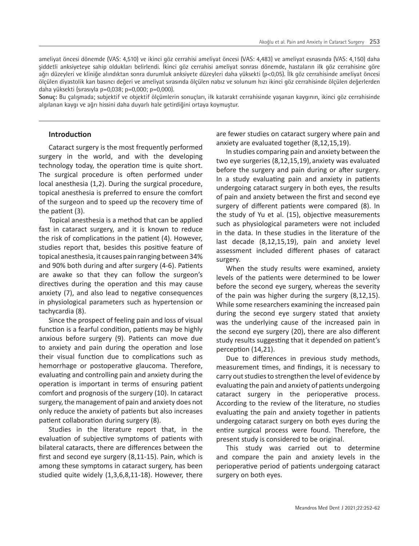ameliyat öncesi dönemde (VAS: 4,510) ve ikinci göz cerrahisi ameliyat öncesi (VAS: 4,483) ve ameliyat esnasında (VAS: 4,150) daha şiddetli anksiyeteye sahip oldukları belirlendi. İkinci göz cerrahisi ameliyat sonrası dönemde, hastaların ilk göz cerrahisine göre ağrı düzeyleri ve kliniğe alındıktan sonra durumluk anksiyete düzeyleri daha yüksekti (p<0,05). İlk göz cerrahisinde ameliyat öncesi ölçülen diyastolik kan basıncı değeri ve ameliyat sırasında ölçülen nabız ve solunum hızı ikinci göz cerrahisinde ölçülen değerlerden daha yüksekti (sırasıyla p=0,038; p=0,000; p=0,000).

**Sonuç:** Bu çalışmada; subjektif ve objektif ölçümlerin sonuçları, ilk katarakt cerrahisinde yaşanan kaygının, ikinci göz cerrahisinde algılanan kaygı ve ağrı hissini daha duyarlı hale getirdiğini ortaya koymuştur.

## **Introduction**

Cataract surgery is the most frequently performed surgery in the world, and with the developing technology today, the operation time is quite short. The surgical procedure is often performed under local anesthesia (1,2). During the surgical procedure, topical anesthesia is preferred to ensure the comfort of the surgeon and to speed up the recovery time of the patient (3).

Topical anesthesia is a method that can be applied fast in cataract surgery, and it is known to reduce the risk of complications in the patient (4). However, studies report that, besides this positive feature of topical anesthesia, it causes pain ranging between 34% and 90% both during and after surgery (4-6). Patients are awake so that they can follow the surgeon's directives during the operation and this may cause anxiety (7), and also lead to negative consequences in physiological parameters such as hypertension or tachycardia (8).

Since the prospect of feeling pain and loss of visual function is a fearful condition, patients may be highly anxious before surgery (9). Patients can move due to anxiety and pain during the operation and lose their visual function due to complications such as hemorrhage or postoperative glaucoma. Therefore, evaluating and controlling pain and anxiety during the operation is important in terms of ensuring patient comfort and prognosis of the surgery (10). In cataract surgery, the management of pain and anxiety does not only reduce the anxiety of patients but also increases patient collaboration during surgery (8).

Studies in the literature report that, in the evaluation of subjective symptoms of patients with bilateral cataracts, there are differences between the first and second eye surgery (8,11-15). Pain, which is among these symptoms in cataract surgery, has been studied quite widely (1,3,6,8,11-18). However, there

are fewer studies on cataract surgery where pain and anxiety are evaluated together (8,12,15,19).

In studies comparing pain and anxiety between the two eye surgeries (8,12,15,19), anxiety was evaluated before the surgery and pain during or after surgery. In a study evaluating pain and anxiety in patients undergoing cataract surgery in both eyes, the results of pain and anxiety between the first and second eye surgery of different patients were compared (8). In the study of Yu et al. (15), objective measurements such as physiological parameters were not included in the data. In these studies in the literature of the last decade (8,12,15,19), pain and anxiety level assessment included different phases of cataract surgery.

When the study results were examined, anxiety levels of the patients were determined to be lower before the second eye surgery, whereas the severity of the pain was higher during the surgery (8,12,15). While some researchers examining the increased pain during the second eye surgery stated that anxiety was the underlying cause of the increased pain in the second eye surgery (20), there are also different study results suggesting that it depended on patient's perception (14,21).

Due to differences in previous study methods, measurement times, and findings, it is necessary to carry out studies to strengthen the level of evidence by evaluating the pain and anxiety of patients undergoing cataract surgery in the perioperative process. According to the review of the literature, no studies evaluating the pain and anxiety together in patients undergoing cataract surgery on both eyes during the entire surgical process were found. Therefore, the present study is considered to be original.

This study was carried out to determine and compare the pain and anxiety levels in the perioperative period of patients undergoing cataract surgery on both eyes.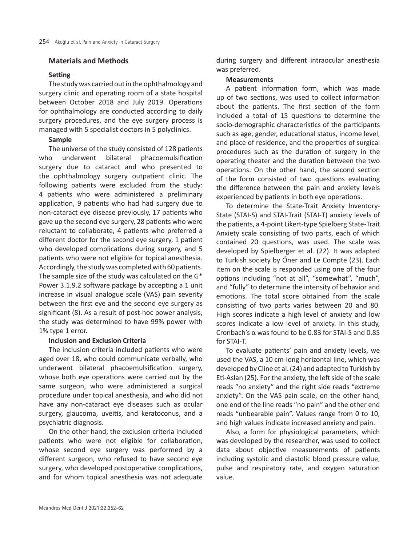## **Materials and Methods**

## **Setting**

The study was carried out in the ophthalmology and surgery clinic and operating room of a state hospital between October 2018 and July 2019. Operations for ophthalmology are conducted according to daily surgery procedures, and the eye surgery process is managed with 5 specialist doctors in 5 polyclinics.

#### **Sample**

The universe of the study consisted of 128 patients who underwent bilateral phacoemulsification surgery due to cataract and who presented to the ophthalmology surgery outpatient clinic. The following patients were excluded from the study: 4 patients who were administered a preliminary application, 9 patients who had had surgery due to non-cataract eye disease previously, 17 patients who gave up the second eye surgery, 28 patients who were reluctant to collaborate, 4 patients who preferred a different doctor for the second eye surgery, 1 patient who developed complications during surgery, and 5 patients who were not eligible for topical anesthesia. Accordingly, the study was completed with 60 patients. The sample size of the study was calculated on the G\* Power 3.1.9.2 software package by accepting a 1 unit increase in visual analogue scale (VAS) pain severity between the first eye and the second eye surgery as significant (8). As a result of post-hoc power analysis, the study was determined to have 99% power with 1% type 1 error.

#### **Inclusion and Exclusion Criteria**

The inclusion criteria included patients who were aged over 18, who could communicate verbally, who underwent bilateral phacoemulsification surgery, whose both eye operations were carried out by the same surgeon, who were administered a surgical procedure under topical anesthesia, and who did not have any non-cataract eye diseases such as ocular surgery, glaucoma, uveitis, and keratoconus, and a psychiatric diagnosis.

On the other hand, the exclusion criteria included patients who were not eligible for collaboration, whose second eye surgery was performed by a different surgeon, who refused to have second eye surgery, who developed postoperative complications, and for whom topical anesthesia was not adequate

during surgery and different intraocular anesthesia was preferred.

#### **Measurements**

A patient information form, which was made up of two sections, was used to collect information about the patients. The first section of the form included a total of 15 questions to determine the socio-demographic characteristics of the participants such as age, gender, educational status, income level, and place of residence, and the properties of surgical procedures such as the duration of surgery in the operating theater and the duration between the two operations. On the other hand, the second section of the form consisted of two questions evaluating the difference between the pain and anxiety levels experienced by patients in both eye operations.

To determine the State-Trait Anxiety Inventory-State (STAI-S) and STAI-Trait (STAI-T) anxiety levels of the patients, a 4-point Likert-type Spielberg State-Trait Anxiety scale consisting of two parts, each of which contained 20 questions, was used. The scale was developed by Spielberger et al. (22). It was adapted to Turkish society by Öner and Le Compte (23). Each item on the scale is responded using one of the four options including "not at all", "somewhat", "much", and "fully" to determine the intensity of behavior and emotions. The total score obtained from the scale consisting of two parts varies between 20 and 80. High scores indicate a high level of anxiety and low scores indicate a low level of anxiety. In this study, Cronbach's α was found to be 0.83 for STAI-S and 0.85 for STAI-T.

To evaluate patients' pain and anxiety levels, we used the VAS, a 10 cm-long horizontal line, which was developed by Cline et al. (24) and adapted to Turkish by Eti-Aslan (25). For the anxiety, the left side of the scale reads "no anxiety" and the right side reads "extreme anxiety". On the VAS pain scale, on the other hand, one end of the line reads "no pain" and the other end reads "unbearable pain". Values range from 0 to 10, and high values indicate increased anxiety and pain.

Also, a form for physiological parameters, which was developed by the researcher, was used to collect data about objective measurements of patients including systolic and diastolic blood pressure value, pulse and respiratory rate, and oxygen saturation value.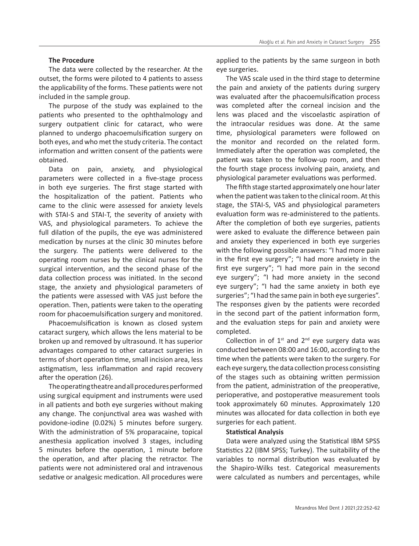## **The Procedure**

The data were collected by the researcher. At the outset, the forms were piloted to 4 patients to assess the applicability of the forms. These patients were not included in the sample group.

The purpose of the study was explained to the patients who presented to the ophthalmology and surgery outpatient clinic for cataract, who were planned to undergo phacoemulsification surgery on both eyes, and who met the study criteria. The contact information and written consent of the patients were obtained.

Data on pain, anxiety, and physiological parameters were collected in a five-stage process in both eye surgeries. The first stage started with the hospitalization of the patient. Patients who came to the clinic were assessed for anxiety levels with STAI-S and STAI-T, the severity of anxiety with VAS, and physiological parameters. To achieve the full dilation of the pupils, the eye was administered medication by nurses at the clinic 30 minutes before the surgery. The patients were delivered to the operating room nurses by the clinical nurses for the surgical intervention, and the second phase of the data collection process was initiated. In the second stage, the anxiety and physiological parameters of the patients were assessed with VAS just before the operation. Then, patients were taken to the operating room for phacoemulsification surgery and monitored.

Phacoemulsification is known as closed system cataract surgery, which allows the lens material to be broken up and removed by ultrasound. It has superior advantages compared to other cataract surgeries in terms of short operation time, small incision area, less astigmatism, less inflammation and rapid recovery after the operation (26).

The operating theatre and all procedures performed using surgical equipment and instruments were used in all patients and both eye surgeries without making any change. The conjunctival area was washed with povidone-iodine (0.02%) 5 minutes before surgery. With the administration of 5% proparacaine, topical anesthesia application involved 3 stages, including 5 minutes before the operation, 1 minute before the operation, and after placing the retractor. The patients were not administered oral and intravenous sedative or analgesic medication. All procedures were

applied to the patients by the same surgeon in both eye surgeries.

The VAS scale used in the third stage to determine the pain and anxiety of the patients during surgery was evaluated after the phacoemulsification process was completed after the corneal incision and the lens was placed and the viscoelastic aspiration of the intraocular residues was done. At the same time, physiological parameters were followed on the monitor and recorded on the related form. Immediately after the operation was completed, the patient was taken to the follow-up room, and then the fourth stage process involving pain, anxiety, and physiological parameter evaluations was performed.

The fifth stage started approximately one hour later when the patient was taken to the clinical room. At this stage, the STAI-S, VAS and physiological parameters evaluation form was re-administered to the patients. After the completion of both eye surgeries, patients were asked to evaluate the difference between pain and anxiety they experienced in both eye surgeries with the following possible answers: "I had more pain in the first eye surgery"; "I had more anxiety in the first eye surgery"; "I had more pain in the second eye surgery"; "I had more anxiety in the second eye surgery"; "I had the same anxiety in both eye surgeries"; "I had the same pain in both eye surgeries". The responses given by the patients were recorded in the second part of the patient information form, and the evaluation steps for pain and anxiety were completed.

Collection in of  $1^{st}$  and  $2^{nd}$  eye surgery data was conducted between 08:00 and 16:00, according to the time when the patients were taken to the surgery. For each eye surgery, the data collection process consisting of the stages such as obtaining written permission from the patient, administration of the preoperative, perioperative, and postoperative measurement tools took approximately 60 minutes. Approximately 120 minutes was allocated for data collection in both eye surgeries for each patient.

## **Statistical Analysis**

Data were analyzed using the Statistical IBM SPSS Statistics 22 (IBM SPSS; Turkey). The suitability of the variables to normal distribution was evaluated by the Shapiro-Wilks test. Categorical measurements were calculated as numbers and percentages, while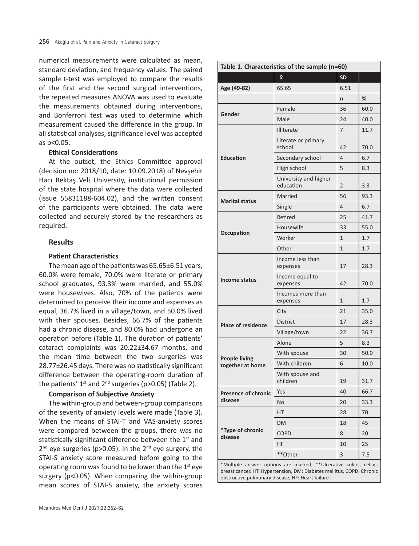numerical measurements were calculated as mean, standard deviation, and frequency values. The paired sample t-test was employed to compare the results of the first and the second surgical interventions, the repeated measures ANOVA was used to evaluate the measurements obtained during interventions, and Bonferroni test was used to determine which measurement caused the difference in the group. In all statistical analyses, significance level was accepted as p<0.05.

#### **Ethical Considerations**

At the outset, the Ethics Committee approval (decision no: 2018/10, date: 10.09.2018) of Nevşehir Hacı Bektaş Veli University, institutional permission of the state hospital where the data were collected (issue 55831188-604.02), and the written consent of the participants were obtained. The data were collected and securely stored by the researchers as required.

## **Results**

#### **Patient Characteristics**

The mean age of the patients was 65.65±6.51 years, 60.0% were female, 70.0% were literate or primary school graduates, 93.3% were married, and 55.0% were housewives. Also, 70% of the patients were determined to perceive their income and expenses as equal, 36.7% lived in a village/town, and 50.0% lived with their spouses. Besides, 66.7% of the patients had a chronic disease, and 80.0% had undergone an operation before (Table 1). The duration of patients' cataract complaints was 20.22±34.67 months, and the mean time between the two surgeries was 28.77±26.45 days. There was no statistically significant difference between the operating-room duration of the patients'  $1^{st}$  and  $2^{nd}$  surgeries (p>0.05) (Table 2).

#### **Comparison of Subjective Anxiety**

The within-group and between-group comparisons of the severity of anxiety levels were made (Table 3). When the means of STAI-T and VAS-anxiety scores were compared between the groups, there was no statistically significant difference between the  $1<sup>st</sup>$  and  $2^{nd}$  eye surgeries (p>0.05). In the  $2^{nd}$  eye surgery, the STAI-S anxiety score measured before going to the operating room was found to be lower than the  $1<sup>st</sup>$  eye surgery (p<0.05). When comparing the within-group mean scores of STAI-S anxiety, the anxiety scores

|                                          | $\bar{\mathbf{x}}$                 | <b>SD</b>                                                                             |      |
|------------------------------------------|------------------------------------|---------------------------------------------------------------------------------------|------|
| Age (49-82)                              | 65.65                              | 6.51                                                                                  |      |
|                                          |                                    | n                                                                                     | %    |
|                                          | Female                             | 36                                                                                    | 60.0 |
| Gender                                   | Male                               | 24                                                                                    | 40.0 |
|                                          | <b>Illiterate</b>                  | 7                                                                                     | 11.7 |
|                                          | Literate or primary<br>school      | 42                                                                                    | 70.0 |
| <b>Education</b>                         | Secondary school                   | 4                                                                                     | 6.7  |
|                                          | High school                        | 5                                                                                     | 8.3  |
|                                          | University and higher<br>education | $\overline{2}$                                                                        | 3.3  |
|                                          | Married                            | 56<br>4<br>25<br>33<br>$\mathbf{1}$<br>$\mathbf{1}$<br>17<br>42<br>$\mathbf{1}$<br>21 | 93.3 |
| <b>Marital status</b>                    | Single                             |                                                                                       | 6.7  |
|                                          | Retired                            |                                                                                       | 41.7 |
|                                          | Housewife                          |                                                                                       | 55.0 |
| Occupation                               | Worker                             |                                                                                       | 1.7  |
|                                          | Other                              |                                                                                       | 1.7  |
| <b>Income status</b>                     | Income less than<br>expenses       |                                                                                       | 28.3 |
|                                          | Income equal to<br>expenses        |                                                                                       | 70.0 |
|                                          | Incomes more than<br>expenses      |                                                                                       | 1.7  |
|                                          | City                               |                                                                                       | 35.0 |
| <b>Place of residence</b>                | <b>District</b>                    | 17                                                                                    | 28.3 |
|                                          | Village/town                       | 22                                                                                    | 36.7 |
|                                          | Alone                              | 5                                                                                     | 8.3  |
|                                          | With spouse                        | 30                                                                                    | 50.0 |
| <b>People living</b><br>together at home | With children                      | 6                                                                                     | 10.0 |
|                                          | With spouse and<br>children        | 19                                                                                    | 31.7 |
| <b>Presence of chronic</b>               | Yes                                | 40                                                                                    | 66.7 |
| disease                                  | No                                 | 20                                                                                    | 33.3 |
|                                          | HТ                                 | 28                                                                                    | 70   |
|                                          | DM                                 | 18                                                                                    | 45   |
| *Type of chronic<br>disease              | <b>COPD</b>                        | 8                                                                                     | 20   |
|                                          | HF                                 | 10                                                                                    | 25   |
|                                          | **Other                            | 3                                                                                     | 7.5  |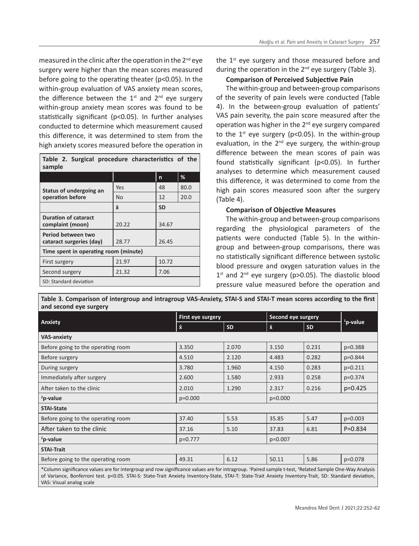measured in the clinic after the operation in the 2<sup>nd</sup> eye surgery were higher than the mean scores measured before going to the operating theater (p<0.05). In the within-group evaluation of VAS anxiety mean scores, the difference between the  $1<sup>st</sup>$  and  $2<sup>nd</sup>$  eye surgery within-group anxiety mean scores was found to be statistically significant (p<0.05). In further analyses conducted to determine which measurement caused this difference, it was determined to stem from the high anxiety scores measured before the operation in

| Table 2. Surgical procedure characteristics of the<br>sample |                |           |      |  |  |  |
|--------------------------------------------------------------|----------------|-----------|------|--|--|--|
|                                                              |                | n         | %    |  |  |  |
| Status of undergoing an                                      | Yes            | 48        | 80.0 |  |  |  |
| operation before                                             | N <sub>o</sub> | 12        | 20.0 |  |  |  |
|                                                              | $\bar{x}$      | <b>SD</b> |      |  |  |  |
| <b>Duration of cataract</b><br>complaint (moon)              | 20.22          | 34.67     |      |  |  |  |
| Period between two<br>cataract surgeries (day)               | 28.77          | 26.45     |      |  |  |  |
| Time spent in operating room (minute)                        |                |           |      |  |  |  |
| First surgery                                                | 21.97          | 10.72     |      |  |  |  |
| Second surgery                                               | 21.32          | 7.06      |      |  |  |  |
| SD: Standard deviation                                       |                |           |      |  |  |  |

VAS: Visual analog scale

the  $1<sup>st</sup>$  eye surgery and those measured before and during the operation in the  $2^{nd}$  eye surgery (Table 3).

## **Comparison of Perceived Subjective Pain**

The within-group and between-group comparisons of the severity of pain levels were conducted (Table 4). In the between-group evaluation of patients' VAS pain severity, the pain score measured after the operation was higher in the 2<sup>nd</sup> eye surgery compared to the  $1<sup>st</sup>$  eye surgery (p<0.05). In the within-group evaluation, in the  $2<sup>nd</sup>$  eye surgery, the within-group difference between the mean scores of pain was found statistically significant (p<0.05). In further analyses to determine which measurement caused this difference, it was determined to come from the high pain scores measured soon after the surgery (Table 4).

## **Comparison of Objective Measures**

The within-group and between-group comparisons regarding the physiological parameters of the patients were conducted (Table 5). In the withingroup and between-group comparisons, there was no statistically significant difference between systolic blood pressure and oxygen saturation values in the  $1<sup>st</sup>$  and  $2<sup>nd</sup>$  eye surgery (p>0.05). The diastolic blood pressure value measured before the operation and

|                                                                                                                                                                                                                                                                                                                                           | First eye surgery |           |           | <b>Second eye surgery</b> |                      |  |
|-------------------------------------------------------------------------------------------------------------------------------------------------------------------------------------------------------------------------------------------------------------------------------------------------------------------------------------------|-------------------|-----------|-----------|---------------------------|----------------------|--|
| Anxiety                                                                                                                                                                                                                                                                                                                                   | $\bar{x}$         | <b>SD</b> | $\bar{x}$ | <b>SD</b>                 | <sup>1</sup> p-value |  |
| <b>VAS-anxiety</b>                                                                                                                                                                                                                                                                                                                        |                   |           |           |                           |                      |  |
| Before going to the operating room                                                                                                                                                                                                                                                                                                        | 3.350             | 2.070     | 3.150     | 0.231                     | p=0.388              |  |
| Before surgery                                                                                                                                                                                                                                                                                                                            | 4.510             | 2.120     | 4.483     | 0.282                     | p=0.844              |  |
| During surgery                                                                                                                                                                                                                                                                                                                            | 3.780             | 1.960     | 4.150     | 0.283                     | $p=0.211$            |  |
| Immediately after surgery                                                                                                                                                                                                                                                                                                                 | 2.600             | 1.580     | 2.933     | 0.258                     | $p=0.374$            |  |
| After taken to the clinic                                                                                                                                                                                                                                                                                                                 | 2.010             | 1.290     | 2.317     | 0.216                     | $p=0.425$            |  |
| $2$ p-value                                                                                                                                                                                                                                                                                                                               | $p=0.000$         |           | $p=0.000$ |                           |                      |  |
| <b>STAI-State</b>                                                                                                                                                                                                                                                                                                                         |                   |           |           |                           |                      |  |
| Before going to the operating room                                                                                                                                                                                                                                                                                                        | 37.40             | 5.53      | 35.85     | 5.47                      | $p=0.003$            |  |
| After taken to the clinic                                                                                                                                                                                                                                                                                                                 | 37.16             | 5.10      | 37.83     | 6.81                      | $P = 0.834$          |  |
| $2$ p-value                                                                                                                                                                                                                                                                                                                               | $p=0.777$         |           |           | $p=0.007$                 |                      |  |
| <b>STAI-Trait</b>                                                                                                                                                                                                                                                                                                                         |                   |           |           |                           |                      |  |
| Before going to the operating room                                                                                                                                                                                                                                                                                                        | 49.31             | 6.12      | 50.11     | 5.86                      | p=0.078              |  |
| *Column significance values are for intergroup and row significance values are for intragroup. <sup>1</sup> Paired sample t-test, <sup>2</sup> Related Sample One-Way Analysis<br>of Variance, Bonferroni test, p<0.05, STAI-S; State-Trait Anxiety Inventory-State, STAI-T; State-Trait Anxiety Inventory-Trait, SD; Standard deviation, |                   |           |           |                           |                      |  |

**Table 3. Comparison of intergroup and intragroup VAS-Anxiety, STAI-S and STAI-T mean scores according to the first and second eye surgery**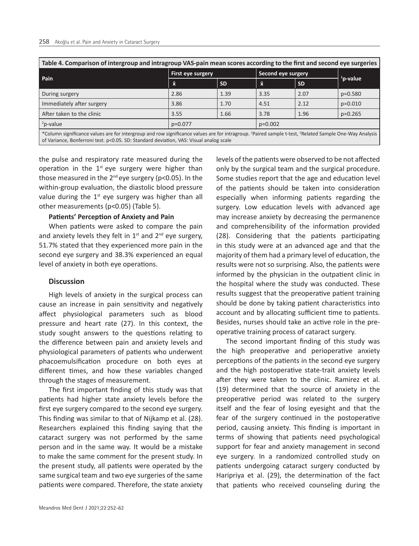| Table 4. Comparison of intergroup and intragroup VAS-pain mean scores according to the first and second eye surgeries                                                                                                                                                    |                   |           |                    |           |             |  |
|--------------------------------------------------------------------------------------------------------------------------------------------------------------------------------------------------------------------------------------------------------------------------|-------------------|-----------|--------------------|-----------|-------------|--|
|                                                                                                                                                                                                                                                                          | First eye surgery |           | Second eye surgery |           |             |  |
| Pain                                                                                                                                                                                                                                                                     | $\bar{x}$         | <b>SD</b> | $\bar{x}$          | <b>SD</b> | $1$ p-value |  |
| During surgery                                                                                                                                                                                                                                                           | 2.86              | 1.39      | 3.35               | 2.07      | $p=0.580$   |  |
| Immediately after surgery                                                                                                                                                                                                                                                | 3.86              | 1.70      | 4.51               | 2.12      | $p=0.010$   |  |
| After taken to the clinic                                                                                                                                                                                                                                                | 3.55              | 1.66      | 3.78               | 1.96      | $p=0.265$   |  |
| $2p$ -value                                                                                                                                                                                                                                                              | $p=0.077$         |           | $p=0.002$          |           |             |  |
| *Column significance values are for intergroup and row significance values are for intragroup. <sup>1</sup> Paired sample t-test, <sup>2</sup> Related Sample One-Way Analysis<br>of Variance, Bonferroni test. p<0.05. SD: Standard deviation, VAS: Visual analog scale |                   |           |                    |           |             |  |

the pulse and respiratory rate measured during the operation in the  $1<sup>st</sup>$  eye surgery were higher than those measured in the  $2^{nd}$  eye surgery (p<0.05). In the within-group evaluation, the diastolic blood pressure value during the  $1<sup>st</sup>$  eye surgery was higher than all other measurements (p<0.05) (Table 5).

## **Patients' Perception of Anxiety and Pain**

When patients were asked to compare the pain and anxiety levels they felt in  $1^{st}$  and  $2^{nd}$  eye surgery, 51.7% stated that they experienced more pain in the second eye surgery and 38.3% experienced an equal level of anxiety in both eye operations.

## **Discussion**

High levels of anxiety in the surgical process can cause an increase in pain sensitivity and negatively affect physiological parameters such as blood pressure and heart rate (27). In this context, the study sought answers to the questions relating to the difference between pain and anxiety levels and physiological parameters of patients who underwent phacoemulsification procedure on both eyes at different times, and how these variables changed through the stages of measurement.

The first important finding of this study was that patients had higher state anxiety levels before the first eye surgery compared to the second eye surgery. This finding was similar to that of Nijkamp et al. (28). Researchers explained this finding saying that the cataract surgery was not performed by the same person and in the same way. It would be a mistake to make the same comment for the present study. In the present study, all patients were operated by the same surgical team and two eye surgeries of the same patients were compared. Therefore, the state anxiety only by the surgical team and the surgical procedure. Some studies report that the age and education level of the patients should be taken into consideration especially when informing patients regarding the surgery. Low education levels with advanced age may increase anxiety by decreasing the permanence and comprehensibility of the information provided (28). Considering that the patients participating in this study were at an advanced age and that the majority of them had a primary level of education, the results were not so surprising. Also, the patients were informed by the physician in the outpatient clinic in the hospital where the study was conducted. These results suggest that the preoperative patient training should be done by taking patient characteristics into account and by allocating sufficient time to patients. Besides, nurses should take an active role in the preoperative training process of cataract surgery.

levels of the patients were observed to be not affected

The second important finding of this study was the high preoperative and perioperative anxiety perceptions of the patients in the second eye surgery and the high postoperative state-trait anxiety levels after they were taken to the clinic. Ramirez et al. (19) determined that the source of anxiety in the preoperative period was related to the surgery itself and the fear of losing eyesight and that the fear of the surgery continued in the postoperative period, causing anxiety. This finding is important in terms of showing that patients need psychological support for fear and anxiety management in second eye surgery. In a randomized controlled study on patients undergoing cataract surgery conducted by Haripriya et al. (29), the determination of the fact that patients who received counseling during the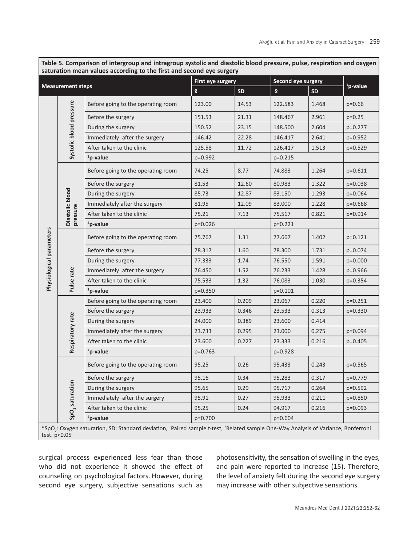| <b>TO THE INDEAIN</b><br><b>Measurement steps</b> |                                                                                                                                                           | First eye surgery                  |                        | Second eye surgery |           |                      |             |
|---------------------------------------------------|-----------------------------------------------------------------------------------------------------------------------------------------------------------|------------------------------------|------------------------|--------------------|-----------|----------------------|-------------|
|                                                   |                                                                                                                                                           | $\bar{\mathbf{x}}$                 | SD                     | $\bar{\mathbf{x}}$ | <b>SD</b> | <sup>1</sup> p-value |             |
|                                                   |                                                                                                                                                           | Before going to the operating room | 123.00                 | 14.53              | 122.583   | 1.468                | $p=0.66$    |
|                                                   |                                                                                                                                                           | Before the surgery                 | 151.53                 | 21.31              | 148.467   | 2.961                | $p=0.25$    |
|                                                   |                                                                                                                                                           | During the surgery                 | 150.52                 | 23.15              | 148.500   | 2.604                | p=0.277     |
|                                                   | Systolic blood pressure                                                                                                                                   | Immediately after the surgery      | 146.42                 | 22.28              | 146.417   | 2.641                | $p=0.952$   |
|                                                   |                                                                                                                                                           | After taken to the clinic          | 125.58                 | 11.72              | 126.417   | 1.513                | $p=0.529$   |
|                                                   |                                                                                                                                                           | <sup>2</sup> p-value               | $p=0.992$<br>$p=0.215$ |                    |           |                      |             |
|                                                   |                                                                                                                                                           | Before going to the operating room | 74.25                  | 8.77               | 74.883    | 1.264                | $p=0.611$   |
|                                                   |                                                                                                                                                           | Before the surgery                 | 81.53                  | 12.60              | 80.983    | 1.322                | $p=0.038$   |
|                                                   | Diastolic blood                                                                                                                                           | During the surgery                 | 85.73                  | 12.87              | 83.150    | 1.293                | p=0.064     |
| Physiological parameters                          |                                                                                                                                                           | Immediately after the surgery      | 81.95                  | 12.09              | 83.000    | 1.228                | $p=0.668$   |
|                                                   | pressure                                                                                                                                                  | After taken to the clinic          | 75.21                  | 7.13               | 75.517    | 0.821                | $p=0.914$   |
|                                                   |                                                                                                                                                           | <sup>2</sup> p-value               | p=0.026                | $p=0.221$          |           |                      |             |
|                                                   | Pulse rate                                                                                                                                                | Before going to the operating room | 75.767                 | 1.31               | 77.667    | 1.402                | $p=0.121$   |
|                                                   |                                                                                                                                                           | Before the surgery                 | 78.317                 | 1.60               | 78.300    | 1.731                | p=0.074     |
|                                                   |                                                                                                                                                           | During the surgery                 | 77.333                 | 1.74               | 76.550    | 1.591                | $p=0.000$   |
|                                                   |                                                                                                                                                           | Immediately after the surgery      | 76.450                 | 1.52               | 76.233    | 1.428                | $p=0.966$   |
|                                                   |                                                                                                                                                           | After taken to the clinic          | 75.533                 | 1.32               | 76.083    | 1.030                | $p = 0.354$ |
|                                                   |                                                                                                                                                           | <sup>2</sup> p-value               | $p=0.350$              |                    | $p=0.101$ |                      |             |
|                                                   |                                                                                                                                                           | Before going to the operating room | 23.400                 | 0.209              | 23.067    | 0.220                | $p=0.251$   |
|                                                   | Respiratory rate                                                                                                                                          | Before the surgery                 | 23.933                 | 0.346              | 23.533    | 0.313                | $p=0.330$   |
|                                                   |                                                                                                                                                           | During the surgery                 | 24.000                 | 0.389              | 23.600    | 0.414                |             |
|                                                   |                                                                                                                                                           | Immediately after the surgery      | 23.733                 | 0.295              | 23.000    | 0.275                | p=0.094     |
|                                                   |                                                                                                                                                           | After taken to the clinic          | 23.600                 | 0.227              | 23.333    | 0.216                | $p=0.405$   |
|                                                   |                                                                                                                                                           | <sup>2</sup> p-value               | $p=0.763$              |                    | $p=0.928$ |                      |             |
|                                                   | SpO <sub>2</sub> saturation                                                                                                                               | Before going to the operating room | 95.25                  | 0.26               | 95.433    | 0.243                | $p=0.565$   |
|                                                   |                                                                                                                                                           | Before the surgery                 | 95.16                  | 0.34               | 95.283    | 0.317                | $p=0.779$   |
|                                                   |                                                                                                                                                           | During the surgery                 | 95.65                  | 0.29               | 95.717    | 0.264                | $p=0.592$   |
|                                                   |                                                                                                                                                           | Immediately after the surgery      | 95.91                  | 0.27               | 95.933    | 0.211                | p=0.850     |
|                                                   |                                                                                                                                                           | After taken to the clinic          | 95.25                  | 0.24               | 94.917    | 0.216                | $p=0.093$   |
|                                                   |                                                                                                                                                           | <sup>2</sup> p-value               | $p=0.700$              |                    | $p=0.604$ |                      |             |
|                                                   | *SpO.: Oxygen saturation. SD: Standard deviation. <sup>1</sup> Paired sample t-test. <sup>2</sup> Related sample One-Way Analysis of Variance. Bonferroni |                                    |                        |                    |           |                      |             |

**Table 5. Comparison of intergroup and intragroup systolic and diastolic blood pressure, pulse, respiration and oxygen saturation mean values according to the first and second eye surgery**

\*SpO<sub>2</sub>: Oxyg<br>test. p<0.05 : Oxygen saturation, SD: Standard deviation, <sup>1</sup> Paired sample t-test, <sup>2</sup> Related sample One-Way Analysis of Variance, Bonferroni

surgical process experienced less fear than those who did not experience it showed the effect of counseling on psychological factors. However, during second eye surgery, subjective sensations such as

photosensitivity, the sensation of swelling in the eyes, and pain were reported to increase (15). Therefore, the level of anxiety felt during the second eye surgery may increase with other subjective sensations.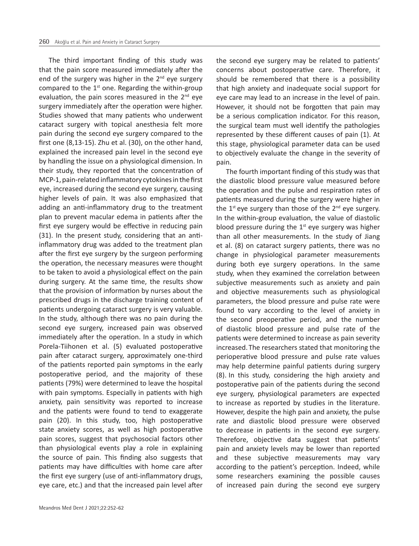The third important finding of this study was that the pain score measured immediately after the end of the surgery was higher in the  $2<sup>nd</sup>$  eye surgery compared to the  $1<sup>st</sup>$  one. Regarding the within-group evaluation, the pain scores measured in the  $2^{nd}$  eye surgery immediately after the operation were higher. Studies showed that many patients who underwent cataract surgery with topical anesthesia felt more pain during the second eye surgery compared to the first one (8,13-15). Zhu et al. (30), on the other hand, explained the increased pain level in the second eye by handling the issue on a physiological dimension. In their study, they reported that the concentration of MCP-1, pain-related inflammatory cytokines in the first eye, increased during the second eye surgery, causing higher levels of pain. It was also emphasized that adding an anti-inflammatory drug to the treatment plan to prevent macular edema in patients after the first eye surgery would be effective in reducing pain (31). In the present study, considering that an antiinflammatory drug was added to the treatment plan after the first eye surgery by the surgeon performing the operation, the necessary measures were thought to be taken to avoid a physiological effect on the pain during surgery. At the same time, the results show that the provision of information by nurses about the prescribed drugs in the discharge training content of patients undergoing cataract surgery is very valuable. In the study, although there was no pain during the second eye surgery, increased pain was observed immediately after the operation. In a study in which Porela-Tiihonen et al. (5) evaluated postoperative pain after cataract surgery, approximately one-third of the patients reported pain symptoms in the early postoperative period, and the majority of these patients (79%) were determined to leave the hospital with pain symptoms. Especially in patients with high anxiety, pain sensitivity was reported to increase and the patients were found to tend to exaggerate pain (20). In this study, too, high postoperative state anxiety scores, as well as high postoperative pain scores, suggest that psychosocial factors other than physiological events play a role in explaining the source of pain. This finding also suggests that patients may have difficulties with home care after the first eye surgery (use of anti-inflammatory drugs, eye care, etc.) and that the increased pain level after the second eye surgery may be related to patients' concerns about postoperative care. Therefore, it should be remembered that there is a possibility that high anxiety and inadequate social support for eye care may lead to an increase in the level of pain. However, it should not be forgotten that pain may be a serious complication indicator. For this reason, the surgical team must well identify the pathologies represented by these different causes of pain (1). At this stage, physiological parameter data can be used to objectively evaluate the change in the severity of pain.

The fourth important finding of this study was that the diastolic blood pressure value measured before the operation and the pulse and respiration rates of patients measured during the surgery were higher in the  $1^{st}$  eye surgery than those of the  $2^{nd}$  eye surgery. In the within-group evaluation, the value of diastolic blood pressure during the  $1<sup>st</sup>$  eye surgery was higher than all other measurements. In the study of Jiang et al. (8) on cataract surgery patients, there was no change in physiological parameter measurements during both eye surgery operations. In the same study, when they examined the correlation between subjective measurements such as anxiety and pain and objective measurements such as physiological parameters, the blood pressure and pulse rate were found to vary according to the level of anxiety in the second preoperative period, and the number of diastolic blood pressure and pulse rate of the patients were determined to increase as pain severity increased. The researchers stated that monitoring the perioperative blood pressure and pulse rate values may help determine painful patients during surgery (8). In this study, considering the high anxiety and postoperative pain of the patients during the second eye surgery, physiological parameters are expected to increase as reported by studies in the literature. However, despite the high pain and anxiety, the pulse rate and diastolic blood pressure were observed to decrease in patients in the second eye surgery. Therefore, objective data suggest that patients' pain and anxiety levels may be lower than reported and these subjective measurements may vary according to the patient's perception. Indeed, while some researchers examining the possible causes of increased pain during the second eye surgery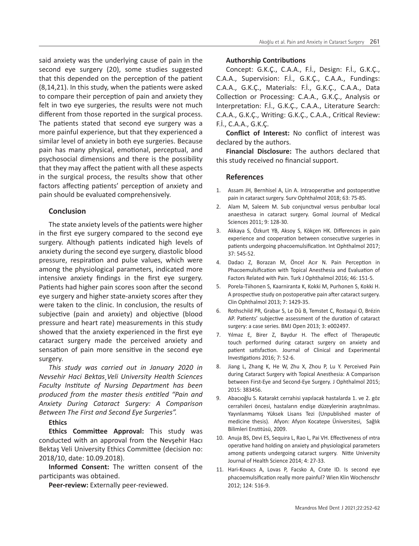said anxiety was the underlying cause of pain in the second eye surgery (20), some studies suggested that this depended on the perception of the patient (8,14,21). In this study, when the patients were asked to compare their perception of pain and anxiety they felt in two eye surgeries, the results were not much different from those reported in the surgical process. The patients stated that second eye surgery was a more painful experience, but that they experienced a similar level of anxiety in both eye surgeries. Because pain has many physical, emotional, perceptual, and psychosocial dimensions and there is the possibility that they may affect the patient with all these aspects in the surgical process, the results show that other factors affecting patients' perception of anxiety and pain should be evaluated comprehensively.

## **Conclusion**

The state anxiety levels of the patients were higher in the first eye surgery compared to the second eye surgery. Although patients indicated high levels of anxiety during the second eye surgery, diastolic blood pressure, respiration and pulse values, which were among the physiological parameters, indicated more intensive anxiety findings in the first eye surgery. Patients had higher pain scores soon after the second eye surgery and higher state-anxiety scores after they were taken to the clinic. In conclusion, the results of subjective (pain and anxiety) and objective (blood pressure and heart rate) measurements in this study showed that the anxiety experienced in the first eye cataract surgery made the perceived anxiety and sensation of pain more sensitive in the second eye surgery.

*This study was carried out in January 2020 in Nevsehir Haci Bektas¸Veli University Health Sciences Faculty Institute of Nursing Department has been produced from the master thesis entitled "Pain and Anxiety During Cataract Surgery: A Comparison Between The First and Second Eye Surgeries".*

# **Ethics**

**Ethics Committee Approval:** This study was conducted with an approval from the Nevşehir Hacı Bektaş Veli University Ethics Committee (decision no: 2018/10, date: 10.09.2018).

**Informed Consent:** The written consent of the participants was obtained.

**Peer-review:** Externally peer-reviewed.

## **Authorship Contributions**

Concept: G.K.Ç., C.A.A., F.İ., Design: F.İ., G.K.Ç., C.A.A., Supervision: F.İ., G.K.Ç., C.A.A., Fundings: C.A.A., G.K.Ç., Materials: F.İ., G.K.Ç., C.A.A., Data Collection or Processing: C.A.A., G.K.Ç., Analysis or Interpretation: F.İ., G.K.Ç., C.A.A., Literature Search: C.A.A., G.K.Ç., Writing: G.K.Ç., C.A.A., Critical Review: F.İ., C.A.A., G.K.Ç.

**Conflict of Interest:** No conflict of interest was declared by the authors.

**Financial Disclosure:** The authors declared that this study received no financial support.

## **References**

- 1. Assam JH, Bernhisel A, Lin A. Intraoperative and postoperative pain in cataract surgery. Surv Ophthalmol 2018; 63: 75-85.
- 2. Alam M, Saleem M. Sub conjunctıval versus perıbulbar local anaesthesıa in cataract surgery. Gomal Journal of Medical Sciences 2011; 9: 128-30.
- 3. Akkaya S, Özkurt YB, Aksoy S, Kökçen HK. Differences in pain experience and cooperation between consecutive surgeries in patients undergoing phacoemulsification. Int Ophthalmol 2017; 37: 545-52.
- 4. Dadacı Z, Borazan M, Öncel Acır N. Pain Perception in Phacoemulsification with Topical Anesthesia and Evaluation of Factors Related with Pain. Turk J Ophthalmol 2016; 46: 151-5.
- 5. Porela-Tiihonen S, Kaarniranta K, Kokki M, Purhonen S, Kokki H. A prospective study on postoperative pain after cataract surgery. Clin Ophthalmol 2013; 7: 1429-35.
- 6. Rothschild PR, Grabar S, Le Dû B, Temstet C, Rostaqui O, Brézin AP. Patients' subjective assessment of the duration of cataract surgery: a case series. BMJ Open 2013; 3: e002497.
- 7. Yılmaz E, Birer Z, Baydur H. The effect of Therapeutic touch performed during cataract surgery on anxiety and patient satisfaction. Journal of Clinical and Experimental Investigations 2016; 7: 52-6.
- 8. Jiang L, Zhang K, He W, Zhu X, Zhou P, Lu Y. Perceived Pain during Cataract Surgery with Topical Anesthesia: A Comparison between First-Eye and Second-Eye Surgery. J Ophthalmol 2015; 2015: 383456.
- 9. Abacıoğlu S. Katarakt cerrahisi yapılacak hastalarda 1. ve 2. göz cerrahileri öncesi, hastaların endişe düzeylerinin araştırılması. Yayınlanmamış Yüksek Lisans Tezi (Unpublished master of medicine thesis). Afyon: Afyon Kocatepe Üniversitesi, Sağlık Bilimleri Enstitüsü, 2009.
- 10. Anuja BS, Devi ES, Sequira L, Rao L, Pai VH. Effectiveness of ıntra operative hand holding on anxiety and physiological parameters among patients undergoing cataract surgery. Nitte University Journal of Health Science 2014; 4: 27-33.
- 11. Hari-Kovacs A, Lovas P, Facsko A, Crate ID. Is second eye phacoemulsification really more painful? Wien Klin Wochenschr 2012; 124: 516-9.